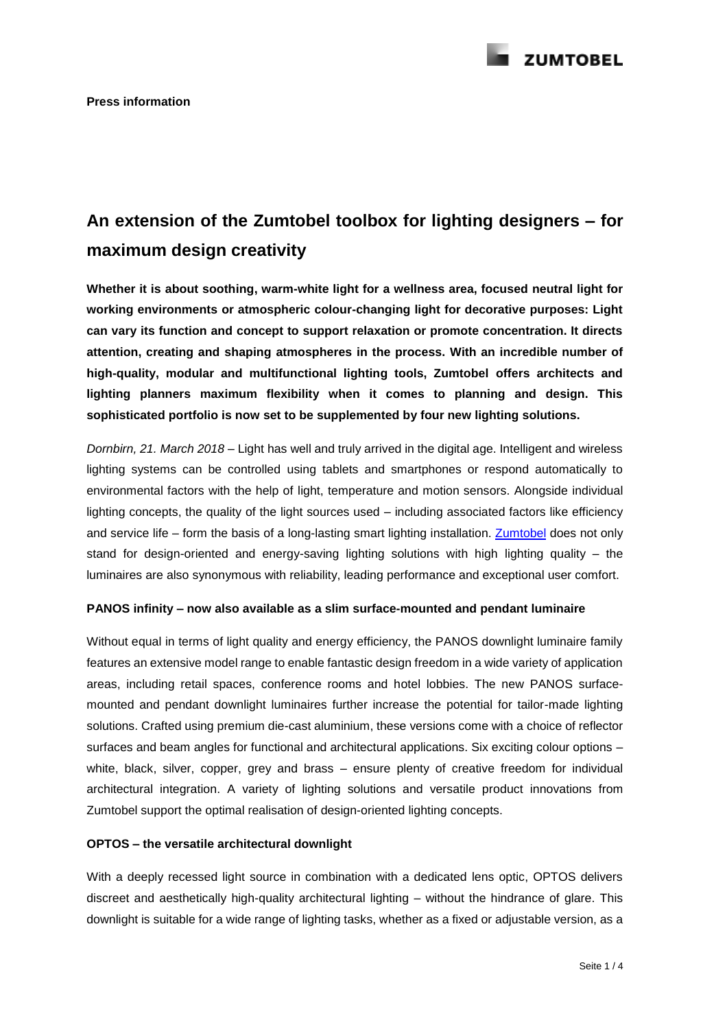

# **An extension of the Zumtobel toolbox for lighting designers – for maximum design creativity**

**Whether it is about soothing, warm-white light for a wellness area, focused neutral light for working environments or atmospheric colour-changing light for decorative purposes: Light can vary its function and concept to support relaxation or promote concentration. It directs attention, creating and shaping atmospheres in the process. With an incredible number of high-quality, modular and multifunctional lighting tools, Zumtobel offers architects and lighting planners maximum flexibility when it comes to planning and design. This sophisticated portfolio is now set to be supplemented by four new lighting solutions.**

*Dornbirn, 21. March 2018 –* Light has well and truly arrived in the digital age. Intelligent and wireless lighting systems can be controlled using tablets and smartphones or respond automatically to environmental factors with the help of light, temperature and motion sensors. Alongside individual lighting concepts, the quality of the light sources used – including associated factors like efficiency and service life – form the basis of a long-lasting smart lighting installation. [Zumtobel](http://www.zumtobel.com/) does not only stand for design-oriented and energy-saving lighting solutions with high lighting quality – the luminaires are also synonymous with reliability, leading performance and exceptional user comfort.

## **PANOS infinity – now also available as a slim surface-mounted and pendant luminaire**

Without equal in terms of light quality and energy efficiency, the PANOS downlight luminaire family features an extensive model range to enable fantastic design freedom in a wide variety of application areas, including retail spaces, conference rooms and hotel lobbies. The new PANOS surfacemounted and pendant downlight luminaires further increase the potential for tailor-made lighting solutions. Crafted using premium die-cast aluminium, these versions come with a choice of reflector surfaces and beam angles for functional and architectural applications. Six exciting colour options – white, black, silver, copper, grey and brass – ensure plenty of creative freedom for individual architectural integration. A variety of lighting solutions and versatile product innovations from Zumtobel support the optimal realisation of design-oriented lighting concepts.

## **OPTOS – the versatile architectural downlight**

With a deeply recessed light source in combination with a dedicated lens optic, OPTOS delivers discreet and aesthetically high-quality architectural lighting – without the hindrance of glare. This downlight is suitable for a wide range of lighting tasks, whether as a fixed or adjustable version, as a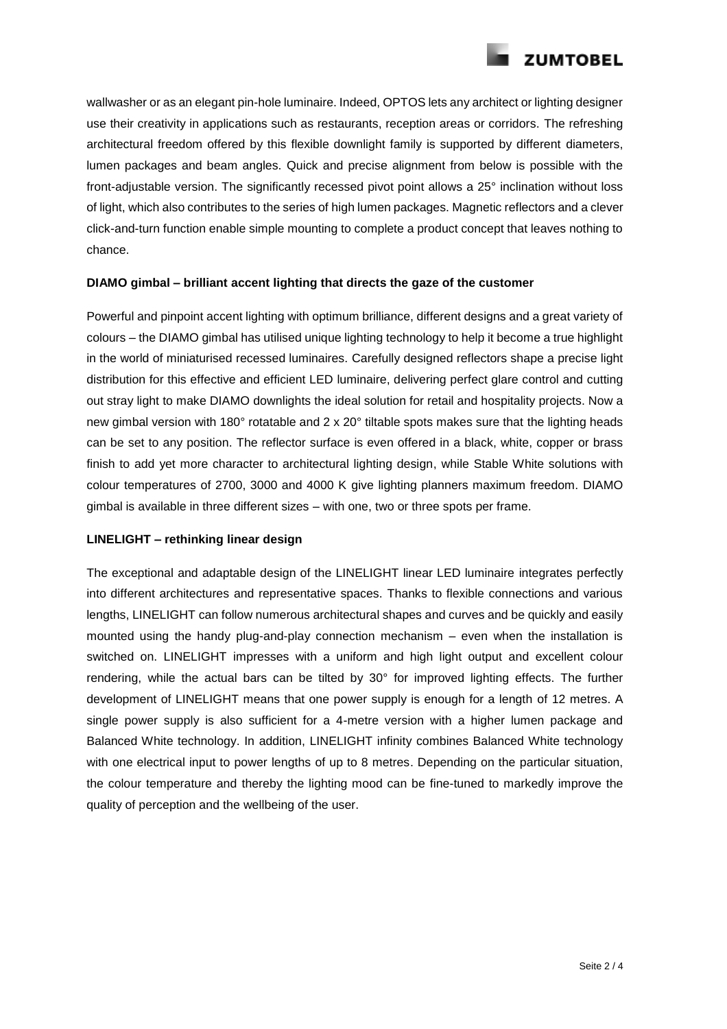

wallwasher or as an elegant pin-hole luminaire. Indeed, OPTOS lets any architect or lighting designer use their creativity in applications such as restaurants, reception areas or corridors. The refreshing architectural freedom offered by this flexible downlight family is supported by different diameters, lumen packages and beam angles. Quick and precise alignment from below is possible with the front-adjustable version. The significantly recessed pivot point allows a 25° inclination without loss of light, which also contributes to the series of high lumen packages. Magnetic reflectors and a clever click-and-turn function enable simple mounting to complete a product concept that leaves nothing to chance.

## **DIAMO gimbal – brilliant accent lighting that directs the gaze of the customer**

Powerful and pinpoint accent lighting with optimum brilliance, different designs and a great variety of colours – the DIAMO gimbal has utilised unique lighting technology to help it become a true highlight in the world of miniaturised recessed luminaires. Carefully designed reflectors shape a precise light distribution for this effective and efficient LED luminaire, delivering perfect glare control and cutting out stray light to make DIAMO downlights the ideal solution for retail and hospitality projects. Now a new gimbal version with 180° rotatable and 2 x 20° tiltable spots makes sure that the lighting heads can be set to any position. The reflector surface is even offered in a black, white, copper or brass finish to add yet more character to architectural lighting design, while Stable White solutions with colour temperatures of 2700, 3000 and 4000 K give lighting planners maximum freedom. DIAMO gimbal is available in three different sizes – with one, two or three spots per frame.

## **LINELIGHT – rethinking linear design**

The exceptional and adaptable design of the LINELIGHT linear LED luminaire integrates perfectly into different architectures and representative spaces. Thanks to flexible connections and various lengths, LINELIGHT can follow numerous architectural shapes and curves and be quickly and easily mounted using the handy plug-and-play connection mechanism – even when the installation is switched on. LINELIGHT impresses with a uniform and high light output and excellent colour rendering, while the actual bars can be tilted by 30° for improved lighting effects. The further development of LINELIGHT means that one power supply is enough for a length of 12 metres. A single power supply is also sufficient for a 4-metre version with a higher lumen package and Balanced White technology. In addition, LINELIGHT infinity combines Balanced White technology with one electrical input to power lengths of up to 8 metres. Depending on the particular situation, the colour temperature and thereby the lighting mood can be fine-tuned to markedly improve the quality of perception and the wellbeing of the user.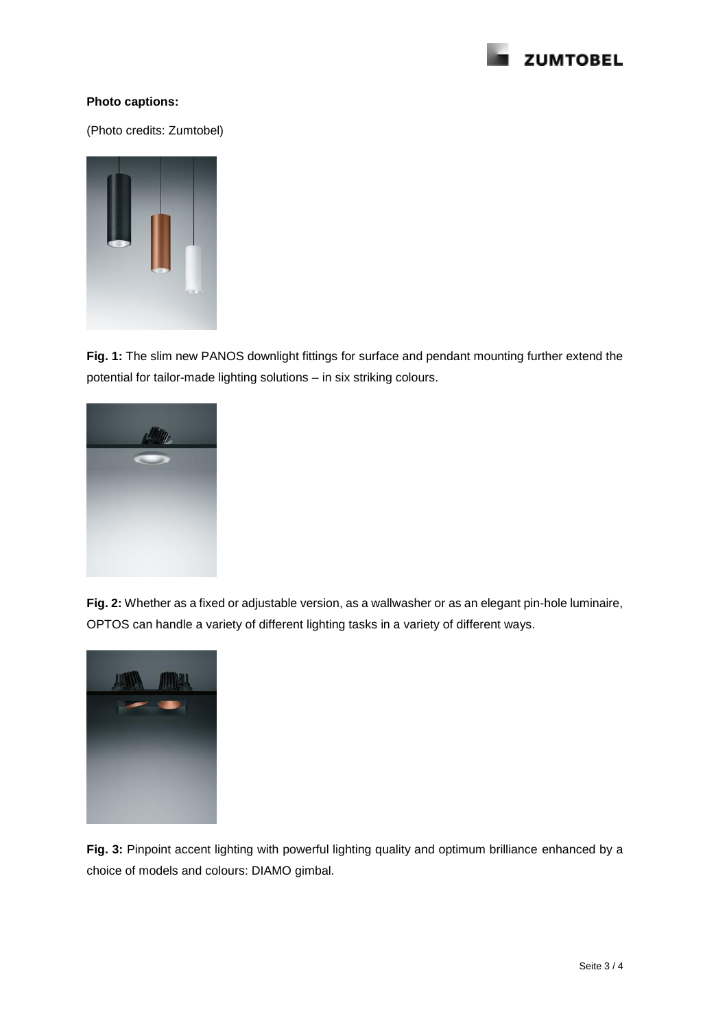

# **Photo captions:**

(Photo credits: Zumtobel)



**Fig. 1:** The slim new PANOS downlight fittings for surface and pendant mounting further extend the potential for tailor-made lighting solutions – in six striking colours.



**Fig. 2:** Whether as a fixed or adjustable version, as a wallwasher or as an elegant pin-hole luminaire, OPTOS can handle a variety of different lighting tasks in a variety of different ways.



**Fig. 3:** Pinpoint accent lighting with powerful lighting quality and optimum brilliance enhanced by a choice of models and colours: DIAMO gimbal.